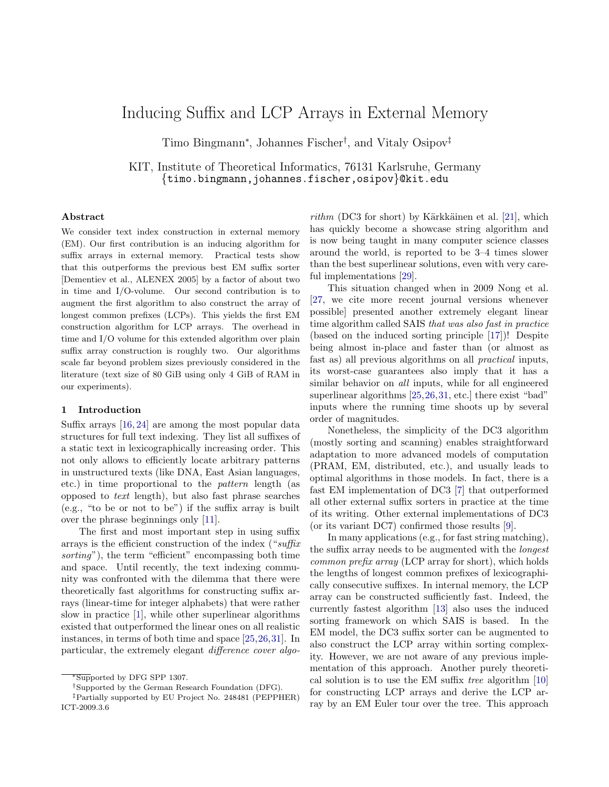# Inducing Suffix and LCP Arrays in External Memory

Timo Bingmann<sup>∗</sup> , Johannes Fischer† , and Vitaly Osipov‡

KIT, Institute of Theoretical Informatics, 76131 Karlsruhe, Germany {timo.bingmann,johannes.fischer,osipov}@kit.edu

#### Abstract

We consider text index construction in external memory (EM). Our first contribution is an inducing algorithm for suffix arrays in external memory. Practical tests show that this outperforms the previous best EM suffix sorter [Dementiev et al., ALENEX 2005] by a factor of about two in time and I/O-volume. Our second contribution is to augment the first algorithm to also construct the array of longest common prefixes (LCPs). This yields the first EM construction algorithm for LCP arrays. The overhead in time and I/O volume for this extended algorithm over plain suffix array construction is roughly two. Our algorithms scale far beyond problem sizes previously considered in the literature (text size of 80 GiB using only 4 GiB of RAM in our experiments).

#### 1 Introduction

Suffix arrays [\[16,](#page-13-0) [24\]](#page-13-1) are among the most popular data structures for full text indexing. They list all suffixes of a static text in lexicographically increasing order. This not only allows to efficiently locate arbitrary patterns in unstructured texts (like DNA, East Asian languages, etc.) in time proportional to the pattern length (as opposed to text length), but also fast phrase searches (e.g., "to be or not to be") if the suffix array is built over the phrase beginnings only [\[11\]](#page-13-2).

The first and most important step in using suffix arrays is the efficient construction of the index ("suffix sorting"), the term "efficient" encompassing both time and space. Until recently, the text indexing community was confronted with the dilemma that there were theoretically fast algorithms for constructing suffix arrays (linear-time for integer alphabets) that were rather slow in practice [\[1\]](#page-13-3), while other superlinear algorithms existed that outperformed the linear ones on all realistic instances, in terms of both time and space [\[25,](#page-14-0)[26,](#page-14-1)[31\]](#page-14-2). In particular, the extremely elegant difference cover algo-

rithm (DC3 for short) by Kärkkäinen et al.  $[21]$ , which has quickly become a showcase string algorithm and is now being taught in many computer science classes around the world, is reported to be 3–4 times slower than the best superlinear solutions, even with very careful implementations [\[29\]](#page-14-3).

This situation changed when in 2009 Nong et al. [\[27,](#page-14-4) we cite more recent journal versions whenever possible] presented another extremely elegant linear time algorithm called SAIS that was also fast in practice (based on the induced sorting principle [\[17\]](#page-13-5))! Despite being almost in-place and faster than (or almost as fast as) all previous algorithms on all practical inputs, its worst-case guarantees also imply that it has a similar behavior on *all* inputs, while for all engineered superlinear algorithms [\[25,](#page-14-0)[26,](#page-14-1)[31,](#page-14-2) etc.] there exist "bad" inputs where the running time shoots up by several order of magnitudes.

Nonetheless, the simplicity of the DC3 algorithm (mostly sorting and scanning) enables straightforward adaptation to more advanced models of computation (PRAM, EM, distributed, etc.), and usually leads to optimal algorithms in those models. In fact, there is a fast EM implementation of DC3 [\[7\]](#page-13-6) that outperformed all other external suffix sorters in practice at the time of its writing. Other external implementations of DC3 (or its variant DC7) confirmed those results [\[9\]](#page-13-7).

In many applications (e.g., for fast string matching), the suffix array needs to be augmented with the *longest* common prefix array (LCP array for short), which holds the lengths of longest common prefixes of lexicographically consecutive suffixes. In internal memory, the LCP array can be constructed sufficiently fast. Indeed, the currently fastest algorithm [\[13\]](#page-13-8) also uses the induced sorting framework on which SAIS is based. In the EM model, the DC3 suffix sorter can be augmented to also construct the LCP array within sorting complexity. However, we are not aware of any previous implementation of this approach. Another purely theoretical solution is to use the EM suffix tree algorithm [\[10\]](#page-13-9) for constructing LCP arrays and derive the LCP array by an EM Euler tour over the tree. This approach

<sup>∗</sup>Supported by DFG SPP 1307.

<sup>†</sup>Supported by the German Research Foundation (DFG).

<sup>‡</sup>Partially supported by EU Project No. 248481 (PEPPHER) ICT-2009.3.6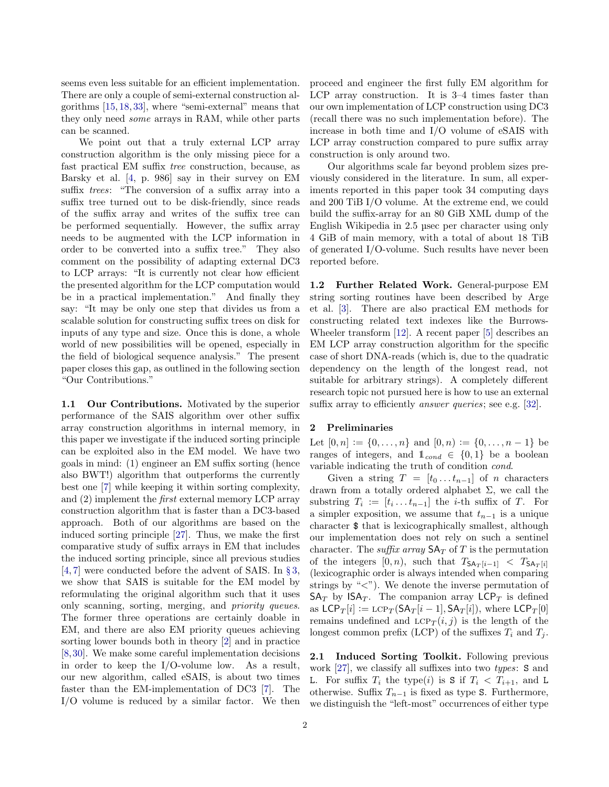seems even less suitable for an efficient implementation. There are only a couple of semi-external construction algorithms [\[15,](#page-13-10) [18,](#page-13-11) [33\]](#page-14-5), where "semi-external" means that they only need some arrays in RAM, while other parts can be scanned.

We point out that a truly external LCP array construction algorithm is the only missing piece for a fast practical EM suffix tree construction, because, as Barsky et al. [\[4,](#page-13-12) p. 986] say in their survey on EM suffix trees: "The conversion of a suffix array into a suffix tree turned out to be disk-friendly, since reads of the suffix array and writes of the suffix tree can be performed sequentially. However, the suffix array needs to be augmented with the LCP information in order to be converted into a suffix tree." They also comment on the possibility of adapting external DC3 to LCP arrays: "It is currently not clear how efficient the presented algorithm for the LCP computation would be in a practical implementation." And finally they say: "It may be only one step that divides us from a scalable solution for constructing suffix trees on disk for inputs of any type and size. Once this is done, a whole world of new possibilities will be opened, especially in the field of biological sequence analysis." The present paper closes this gap, as outlined in the following section "Our Contributions."

1.1 Our Contributions. Motivated by the superior performance of the SAIS algorithm over other suffix array construction algorithms in internal memory, in this paper we investigate if the induced sorting principle can be exploited also in the EM model. We have two goals in mind: (1) engineer an EM suffix sorting (hence also BWT!) algorithm that outperforms the currently best one [\[7\]](#page-13-6) while keeping it within sorting complexity, and (2) implement the first external memory LCP array construction algorithm that is faster than a DC3-based approach. Both of our algorithms are based on the induced sorting principle [\[27\]](#page-14-4). Thus, we make the first comparative study of suffix arrays in EM that includes the induced sorting principle, since all previous studies [\[4,](#page-13-12) [7\]](#page-13-6) were conducted before the advent of SAIS. In § [3,](#page-2-0) we show that SAIS is suitable for the EM model by reformulating the original algorithm such that it uses only scanning, sorting, merging, and priority queues. The former three operations are certainly doable in EM, and there are also EM priority queues achieving sorting lower bounds both in theory [\[2\]](#page-13-13) and in practice [\[8,](#page-13-14)[30\]](#page-14-6). We make some careful implementation decisions in order to keep the I/O-volume low. As a result, our new algorithm, called eSAIS, is about two times faster than the EM-implementation of DC3 [\[7\]](#page-13-6). The I/O volume is reduced by a similar factor. We then

proceed and engineer the first fully EM algorithm for LCP array construction. It is 3–4 times faster than our own implementation of LCP construction using DC3 (recall there was no such implementation before). The increase in both time and I/O volume of eSAIS with LCP array construction compared to pure suffix array construction is only around two.

Our algorithms scale far beyond problem sizes previously considered in the literature. In sum, all experiments reported in this paper took 34 computing days and 200 TiB I/O volume. At the extreme end, we could build the suffix-array for an 80 GiB XML dump of the English Wikipedia in 2.5 µsec per character using only 4 GiB of main memory, with a total of about 18 TiB of generated I/O-volume. Such results have never been reported before.

1.2 Further Related Work. General-purpose EM string sorting routines have been described by Arge et al. [\[3\]](#page-13-15). There are also practical EM methods for constructing related text indexes like the Burrows-Wheeler transform [\[12\]](#page-13-16). A recent paper [\[5\]](#page-13-17) describes an EM LCP array construction algorithm for the specific case of short DNA-reads (which is, due to the quadratic dependency on the length of the longest read, not suitable for arbitrary strings). A completely different research topic not pursued here is how to use an external suffix array to efficiently *answer queries*; see e.g. [\[32\]](#page-14-7).

## 2 Preliminaries

Let  $[0, n] := \{0, \ldots, n\}$  and  $[0, n) := \{0, \ldots, n-1\}$  be ranges of integers, and  $\mathbb{1}_{\text{cond}} \in \{0,1\}$  be a boolean variable indicating the truth of condition cond.

Given a string  $T = [t_0 \dots t_{n-1}]$  of n characters drawn from a totally ordered alphabet  $\Sigma$ , we call the substring  $T_i := [t_i \dots t_{n-1}]$  the *i*-th suffix of T. For a simpler exposition, we assume that  $t_{n-1}$  is a unique character \$ that is lexicographically smallest, although our implementation does not rely on such a sentinel character. The *suffix array*  $SA_T$  of  $T$  is the permutation of the integers  $[0, n)$ , such that  $T_{\mathsf{SA}_T[i-1]} < T_{\mathsf{SA}_T[i]}$ (lexicographic order is always intended when comparing strings by " $\langle$ "). We denote the inverse permutation of  $SA_T$  by  $ISA_T$ . The companion array  $LCP_T$  is defined as  $LCP_T[i] := LCP_T(SA_T[i-1], SA_T[i]),$  where  $LCP_T[0]$ remains undefined and  $LCP_T(i, j)$  is the length of the longest common prefix (LCP) of the suffixes  $T_i$  and  $T_j$ .

<span id="page-1-0"></span>2.1 Induced Sorting Toolkit. Following previous work [\[27\]](#page-14-4), we classify all suffixes into two types: S and L. For suffix  $T_i$  the type(i) is S if  $T_i < T_{i+1}$ , and L otherwise. Suffix  $T_{n-1}$  is fixed as type S. Furthermore, we distinguish the "left-most" occurrences of either type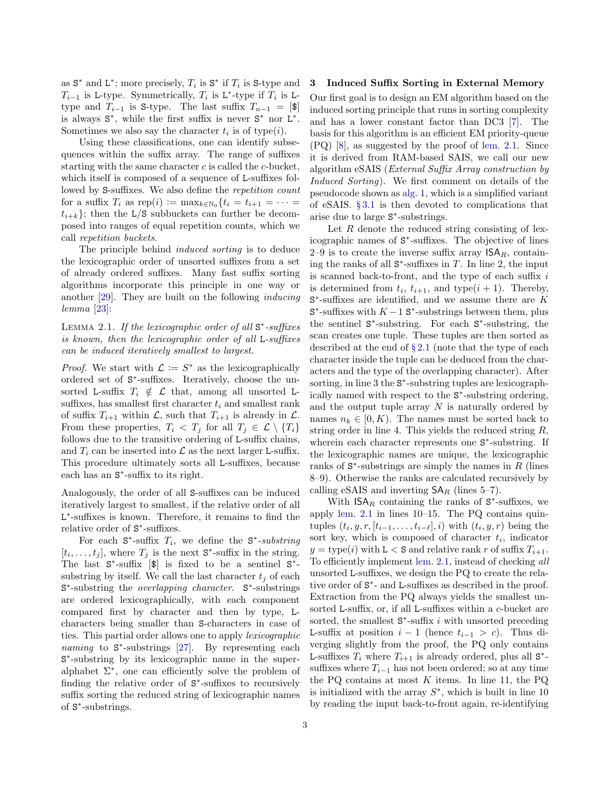as  $S^*$  and  $L^*$ ; more precisely,  $T_i$  is  $S^*$  if  $T_i$  is  $S$ -type and  $T_{i-1}$  is L-type. Symmetrically,  $T_i$  is L<sup>\*</sup>-type if  $T_i$  is Ltype and  $T_{i-1}$  is S-type. The last suffix  $T_{n-1} = [\mathcal{F}]$ is always  $S^*$ , while the first suffix is never  $S^*$  nor  $L^*$ . Sometimes we also say the character  $t_i$  is of type(*i*).

Using these classifications, one can identify subsequences within the suffix array. The range of suffixes starting with the same character  $c$  is called the  $c$ -bucket, which itself is composed of a sequence of L-suffixes followed by S-suffixes. We also define the repetition count for a suffix  $T_i$  as  $\text{rep}(i) := \max_{k \in \mathbb{N}_0} \{t_i = t_{i+1} = \cdots =$  $t_{i+k}$ ; then the L/S subbuckets can further be decomposed into ranges of equal repetition counts, which we call repetition buckets.

The principle behind induced sorting is to deduce the lexicographic order of unsorted suffixes from a set of already ordered suffixes. Many fast suffix sorting algorithms incorporate this principle in one way or another [\[29\]](#page-14-3). They are built on the following inducing lemma [\[23\]](#page-13-18):

<span id="page-2-1"></span>LEMMA 2.1. If the lexicographic order of all  $S^*$ -suffixes is known, then the lexicographic order of all L-suffixes can be induced iteratively smallest to largest.

*Proof.* We start with  $\mathcal{L} := S^*$  as the lexicographically ordered set of  $S^*$ -suffixes. Iteratively, choose the unsorted L-suffix  $T_i \notin \mathcal{L}$  that, among all unsorted Lsuffixes, has smallest first character  $t_i$  and smallest rank of suffix  $T_{i+1}$  within  $\mathcal{L}$ , such that  $T_{i+1}$  is already in  $\mathcal{L}$ . From these properties,  $T_i < T_j$  for all  $T_j \in \mathcal{L} \setminus \{T_i\}$ follows due to the transitive ordering of L-suffix chains, and  $T_i$  can be inserted into  $\mathcal L$  as the next larger L-suffix. This procedure ultimately sorts all L-suffixes, because each has an S ∗ -suffix to its right.

Analogously, the order of all S-suffixes can be induced iteratively largest to smallest, if the relative order of all L<sup>\*</sup>-suffixes is known. Therefore, it remains to find the relative order of  $S^*$ -suffixes.

For each  $S^*$ -suffix  $T_i$ , we define the  $S^*$ -substring  $[t_i, \ldots, t_j]$ , where  $T_j$  is the next  $S^*$ -suffix in the string. The last  $S^*$ -suffix  $[\$]$  is fixed to be a sentinel  $S^*$ substring by itself. We call the last character  $t_i$  of each S<sup>\*</sup>-substring the *overlapping character*. S<sup>\*</sup>-substrings are ordered lexicographically, with each component compared first by character and then by type, Lcharacters being smaller than S-characters in case of ties. This partial order allows one to apply lexicographic naming to S\*-substrings [\[27\]](#page-14-4). By representing each S ∗ -substring by its lexicographic name in the superalphabet  $\Sigma^*$ , one can efficiently solve the problem of finding the relative order of  $S^*$ -suffixes to recursively suffix sorting the reduced string of lexicographic names of S ∗ -substrings.

#### <span id="page-2-0"></span>3 Induced Suffix Sorting in External Memory

Our first goal is to design an EM algorithm based on the induced sorting principle that runs in sorting complexity and has a lower constant factor than DC3 [\[7\]](#page-13-6). The basis for this algorithm is an efficient EM priority-queue (PQ) [\[8\]](#page-13-14), as suggested by the proof of [lem. 2.1.](#page-2-1) Since it is derived from RAM-based SAIS, we call our new algorithm eSAIS (External Suffix Array construction by Induced Sorting). We first comment on details of the pseudocode shown as [alg. 1,](#page-3-0) which is a simplified variant of eSAIS. § [3.1](#page-3-1) is then devoted to complications that arise due to large S ∗ -substrings.

Let  $R$  denote the reduced string consisting of lexicographic names of S ∗ -suffixes. The objective of lines 2–9 is to create the inverse suffix array  $\mathsf{ISA}_R$ , containing the ranks of all  $S^*$ -suffixes in T. In line 2, the input is scanned back-to-front, and the type of each suffix  $i$ is determined from  $t_i$ ,  $t_{i+1}$ , and type $(i + 1)$ . Thereby,  $S^*$ -suffixes are identified, and we assume there are  $K$  $S^*$ -suffixes with  $K-1$   $S^*$ -substrings between them, plus the sentinel S ∗ -substring. For each S ∗ -substring, the scan creates one tuple. These tuples are then sorted as described at the end of  $\S 2.1$  $\S 2.1$  (note that the type of each character inside the tuple can be deduced from the characters and the type of the overlapping character). After sorting, in line 3 the  $S^*$ -substring tuples are lexicographically named with respect to the S ∗ -substring ordering, and the output tuple array  $N$  is naturally ordered by names  $n_k \in [0, K)$ . The names must be sorted back to string order in line 4. This yields the reduced string R, wherein each character represents one  $S^*$ -substring. If the lexicographic names are unique, the lexicographic ranks of  $S^*$ -substrings are simply the names in  $R$  (lines 8–9). Otherwise the ranks are calculated recursively by calling eSAIS and inverting  $SA_R$  (lines 5–7).

With  $\mathsf{ISA}_R$  containing the ranks of  $\mathsf{S}^*$ -suffixes, we apply [lem. 2.1](#page-2-1) in lines 10–15. The PQ contains quintuples  $(t_i, y, r, [t_{i-1}, \ldots, t_{i-\ell}], i)$  with  $(t_i, y, r)$  being the sort key, which is composed of character  $t_i$ , indicator  $y = \text{type}(i)$  with  $L < S$  and relative rank r of suffix  $T_{i+1}$ . To efficiently implement [lem. 2.1,](#page-2-1) instead of checking all unsorted L-suffixes, we design the PQ to create the relative order of  $S^*$ - and L-suffixes as described in the proof. Extraction from the PQ always yields the smallest unsorted L-suffix, or, if all L-suffixes within a c-bucket are sorted, the smallest  $S^*$ -suffix i with unsorted preceding L-suffix at position  $i-1$  (hence  $t_{i-1} > c$ ). Thus diverging slightly from the proof, the PQ only contains L-suffixes  $T_i$  where  $T_{i+1}$  is already ordered, plus all  $S^*$ suffixes where  $T_{i-1}$  has not been ordered; so at any time the PQ contains at most  $K$  items. In line 11, the PQ is initialized with the array  $S^*$ , which is built in line 10 by reading the input back-to-front again, re-identifying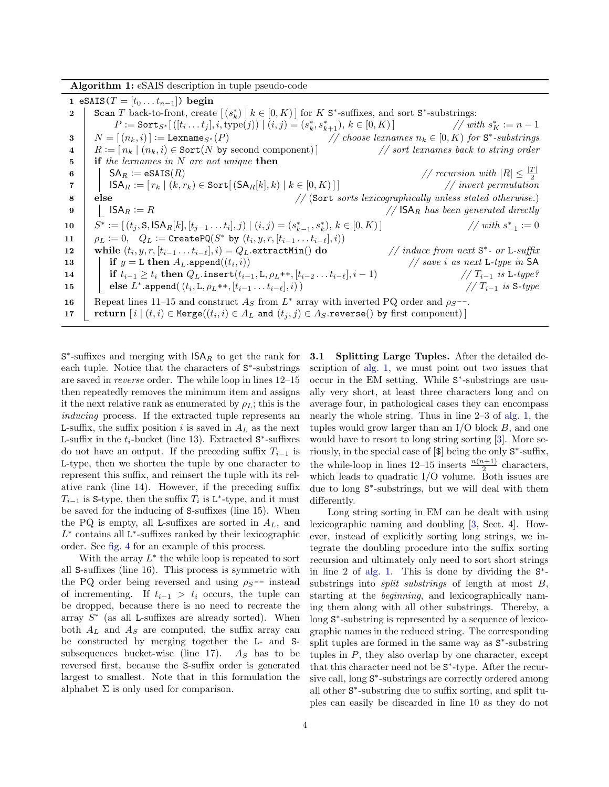Algorithm 1: eSAIS description in tuple pseudo-code

<span id="page-3-0"></span>1 eSAIS( $T = [t_0 ... t_{n-1}]$ ) begin 2 Scan T back-to-front, create  $[(s_k^*) | k \in [0, K)]$  for K S<sup>\*</sup>-suffixes, and sort S<sup>\*</sup>-substrings:  $P := \texttt{Sort}_{S^*}[(t_i...t_j], i, \text{type}(j)) \mid (i, j) = (s_k^*, s_{k+1}^*), k \in [0, K)]$  // with s  $K^* := n - 1$ 3  $N = [(n_k, i)] := \texttt{Lemma}_{S^*}(P)$  // choose lexnames  $n_k \in [0, K)$  for  $S^*$ -substrings 4  $R := [n_k | (n_k, i) \in \text{Sort}(N \text{ by second component})]$  // sort lexnames back to string order  $\mathbf{5}$  | if the lexnames in N are not unique then 6 SAR := eSAIS(R)  $//$  recursion with  $|R| \leq \frac{|T|}{2}$ 7 | ISA $_R := [ r_k | (k, r_k) \in \text{Sort} [(\text{SA}_R[k], k) | k \in [0, K) ] ]$ 8 else // (Sort sorts lexicographically unless stated otherwise.)<br>9 |  $|$  ISA<sub>R</sub> := R // (Sort sorts lexicographically unless stated otherwise.) 9 |  $|S A_R := R$  //  $|S A_R|$  has been generated directly  $10$ \* := [(t<sub>j</sub>, S, ISA<sub>R</sub>[k], [t<sub>j−1</sub> . . . t<sub>i</sub>], j) | (i, j) = (s<sub>k−1</sub>, s<sub>k</sub>), k ∈ [0, K)] // with s  $_{-1}^* := 0$ 11  $\rho_L := 0, \quad Q_L := \texttt{CreatePQ}(S^* \text{ by } (t_i, y, r, [t_{i-1} \dots t_{i-\ell}], i))$ 12 while  $(t_i, y, r, [t_{i-1} \ldots t_{i-\ell}], i) = Q_L$ .extractMin() do // induce from next S ∗ - or L-suffix 13 **if**  $y = L$  then  $A_L$  append $((t_i, i))$  $\frac{1}{s}$  save i as next L-type in SA 14 if ti−<sup>1</sup> ≥ t<sup>i</sup> then QL.insert(ti−1, L, ρL++, [ti−<sup>2</sup> . . . ti−`], i − 1) // Ti−<sup>1</sup> is L-type?  $\begin{array}{|c|c|c|c|c|}\hline \textbf{15} & \textbf{else} & L^*\textbf{.append}((t_i,\mathtt{L},\rho_L\textbf{++},[t_{i-1}\ldots t_{i-\ell}],i))& \textbf{16} & \textbf{17} & \textbf{17} & \textbf{18} & \textbf{5-type} \hline \end{array}$ 16 Repeat lines 11–15 and construct  $A<sub>S</sub>$  from  $L^*$  array with inverted PQ order and  $\rho_S$ --. 17  $\left[ \begin{array}{c|c} \mathbf{return} & [i \mid (t, i) \in \mathtt{Merge}((t_i, i) \in A_L \textbf{ and } (t_j, j) \in A_S.\mathtt{reverse}() \textbf{ by first component}) \end{array} \right]$ 

 $S^*$ -suffixes and merging with  $\mathsf{ISA}_R$  to get the rank for each tuple. Notice that the characters of  $S^*$ -substrings are saved in reverse order. The while loop in lines 12–15 then repeatedly removes the minimum item and assigns it the next relative rank as enumerated by  $\rho_L$ ; this is the inducing process. If the extracted tuple represents an L-suffix, the suffix position i is saved in  $A_L$  as the next L-suffix in the  $t_i$ -bucket (line 13). Extracted  $S^*$ -suffixes do not have an output. If the preceding suffix  $T_{i-1}$  is L-type, then we shorten the tuple by one character to represent this suffix, and reinsert the tuple with its relative rank (line 14). However, if the preceding suffix  $T_{i-1}$  is S-type, then the suffix  $T_i$  is L<sup>\*</sup>-type, and it must be saved for the inducing of S-suffixes (line 15). When the PQ is empty, all L-suffixes are sorted in  $A_L$ , and  $L^*$  contains all  $L^*$ -suffixes ranked by their lexicographic order. See [fig. 4](#page-8-0) for an example of this process.

<span id="page-3-1"></span>With the array  $L^*$  the while loop is repeated to sort all S-suffixes (line 16). This process is symmetric with the PQ order being reversed and using  $\rho_{S}$ -- instead of incrementing. If  $t_{i-1} > t_i$  occurs, the tuple can be dropped, because there is no need to recreate the array  $S^*$  (as all L-suffixes are already sorted). When both  $A_L$  and  $A_S$  are computed, the suffix array can be constructed by merging together the L- and Ssubsequences bucket-wise (line 17).  $A<sub>S</sub>$  has to be reversed first, because the S-suffix order is generated largest to smallest. Note that in this formulation the alphabet  $\Sigma$  is only used for comparison.

3.1 Splitting Large Tuples. After the detailed description of [alg. 1,](#page-3-0) we must point out two issues that occur in the EM setting. While  $S^*$ -substrings are usually very short, at least three characters long and on average four, in pathological cases they can encompass nearly the whole string. Thus in line 2–3 of [alg. 1,](#page-3-0) the tuples would grow larger than an  $I/O$  block  $B$ , and one would have to resort to long string sorting [\[3\]](#page-13-15). More seriously, in the special case of [\$] being the only S ∗ -suffix, the while-loop in lines 12–15 inserts  $\frac{n(n+1)}{2}$  characters, which leads to quadratic  $I/O$  volume. Both issues are due to long  $S^*$ -substrings, but we will deal with them differently.

Long string sorting in EM can be dealt with using lexicographic naming and doubling [\[3,](#page-13-15) Sect. 4]. However, instead of explicitly sorting long strings, we integrate the doubling procedure into the suffix sorting recursion and ultimately only need to sort short strings in line 2 of [alg. 1.](#page-3-0) This is done by dividing the  $S^*$ substrings into *split substrings* of length at most  $B$ , starting at the beginning, and lexicographically naming them along with all other substrings. Thereby, a long  $S^*$ -substring is represented by a sequence of lexicographic names in the reduced string. The corresponding split tuples are formed in the same way as S<sup>∗</sup>-substring tuples in  $P$ , they also overlap by one character, except that this character need not be S<sup>\*</sup>-type. After the recursive call, long  $S^*$ -substrings are correctly ordered among all other S ∗ -substring due to suffix sorting, and split tuples can easily be discarded in line 10 as they do not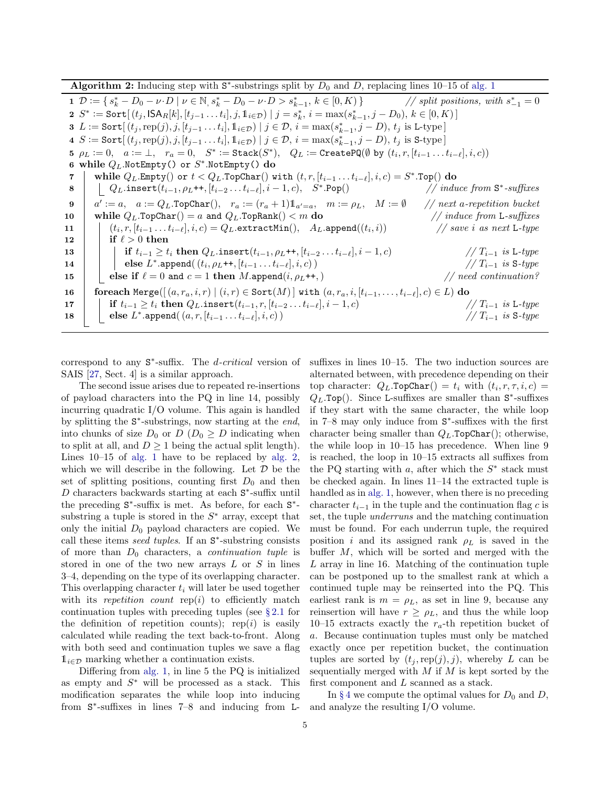Algorithm 2: Inducing step with  $S^*$ -substrings split by  $D_0$  and D, replacing lines 10–15 of [alg. 1](#page-3-0)

<span id="page-4-0"></span>1  $\mathcal{D} := \{ s_k^* - D_0 - \nu \cdot D \mid \nu \in \mathbb{N}, s_k^* - D_0 - \nu \cdot D > s_{k-1}^* \}$  $, k \in [0, K) \}$  // split positions, with  $s_{-1}^* = 0$ 2  $S^* := \text{Sort}[(t_j, \text{ISA}_R[k], [t_{j-1} \dots t_i], j, \mathbb{1}_{i \in \mathcal{D}}) | j = s_k^*, i = \max(s_{k-1}^*, j - D_0), k \in [0, K)]$ 3 L := Sort $[(t_j, \text{rep}(j), j, [t_{j-1} \dots t_i], \mathbb{1}_{i \in \mathcal{D}}) | j \in \mathcal{D}, i = \max(s_{k-1}^*, j - D), t_j \text{ is L-type}]$  $4 S := \text{Sort}[(t_j, \text{rep}(j), j, [t_{j-1} \dots t_i], 1_{i \in \mathcal{D}}) | j \in \mathcal{D}, i = \max(s_{k-1}^*, j - D), t_j \text{ is S-type}]$  $\mathfrak{b} \;\; \rho_L \mathrel{\mathop:}= 0, \quad a \mathrel{\mathop:}= \bot, \quad r_a = 0, \quad S^* \mathrel{\mathop:}= \mathtt{Stack}(S^*), \quad Q_L \mathrel{\mathop:}= \mathtt{CreatePQ}(\emptyset \;\mathop{\mathsf{by}}\; (t_i, r, [t_{i-1} \ldots t_{i-\ell}], i, c))$ 6 while  $Q_L$ .NotEmpty() or  $S^*$ .NotEmpty()  $\bf{do}$ 7 │ while  $Q_L$ .Empty $()$  or  $t < Q_L$ .TopChar $()$  with  $(t, r, [t_{i-1} \ldots t_{i-\ell}], i, c) = S^*.$ Top $()$  do  $\begin{array}{c|c} \mathbf{8} & | & \text{Q}_L.\texttt{insert}(t_{i-1}, \rho_L \texttt{++}, [t_{i-2} \dots t_{i-\ell}], i-1, c), \quad S^* \end{array}$  $. Pop()$  // induce from  $S^*$ -suffixes  $9 \mid a' \coloneqq a, \quad a \coloneqq Q_L.\texttt{TopChar}(), \quad r_a \coloneqq (r_a+1)1_{a'=a}, \quad m \coloneqq \rho_L, \quad M \coloneqq \emptyset \quad \text{ // next a-repetition bucket }$ 10 while  $Q_L$ .TopChar() = a and  $Q_L$ .TopRank() < m do // induce from L-suffixes  $\begin{array}{ccc} \texttt{11} & | & (t_i, r, [t_{i-1} \dots t_{i-\ell}], i, c) = Q_L.\texttt{extractMin}(), & A_L.\texttt{append}((t_i, r_{i+1}, \dots, r_{i-\ell}), i, c) \end{array}$  $\frac{1}{s}$  save i as next L-type 12 if  $\ell > 0$  then 13 if  $t_{i-1} \geq t_i$  then  $Q_L$ .insert $(t_{i-1}, \rho_L^{++}, [t_{i-2} \ldots t_{i-\ell}], i - 1, c)$  //  $T_{i-1}$  is L-type <br>
14 if  $t_{i-1} \geq t_i$  then  $Q_L$ .insert $(t_i, \rho_L^{++}, [t_{i-1} \ldots t_{i-\ell}], i, c)$  //  $T_{i-1}$  is S-type  $\begin{array}{|c|c|c|c|c|}\hline \textbf{14} & & \textbf{else} & L^*.\texttt{append}(\,(t_i,\rho_L\texttt{++},[t_{i-1}\ldots t_{i-\ell}],i,c)\,) \\\hline \end{array} \hspace{2cm} \begin{array}{c} \textbf{14} & & \textbf{14} & \textbf{15} & \textbf{16} & \textbf{17} & \textbf{17} & \textbf{18} & \textbf{18} & \textbf{17} & \textbf{18} & \textbf{18} & \textbf{18} & \textbf{19} & \textbf{18} & \textbf{10} &$ 15 else if  $\ell = 0$  and  $c = 1$  then M.append $(i, \rho_L^{++})$  // need continuation? 16 foreach Merge $([ (a, r_a, i, r) | (i, r) \in Sort(M) ]$  with  $(a, r_a, i, [t_{i-1}, \ldots, t_{i-\ell}], c) \in L$ ) do 17 if  $t_{i-1} \geq t_i$  then  $Q_L$ .insert $(t_{i-1}, r, [t_{i-2} \ldots t_{i-\ell}], i-1, c)$  //  $T_{i-1}$  is L-type  $\begin{array}{|c|c|c|c|c|}\hline \textbf{18} & & \textbf{else} & L^*.\texttt{append}(&a,r,[t_{i-1}\ldots t_{i-\ell}],i,c) \\\hline \end{array}$  //  $T_{i-1}$  is S-type

correspond to any  $S^*$ -suffix. The *d-critical* version of SAIS [\[27,](#page-14-4) Sect. 4] is a similar approach.

The second issue arises due to repeated re-insertions of payload characters into the PQ in line 14, possibly incurring quadratic I/O volume. This again is handled by splitting the  $S^*$ -substrings, now starting at the end, into chunks of size  $D_0$  or  $D$  ( $D_0 \geq D$  indicating when to split at all, and  $D \geq 1$  being the actual split length). Lines 10–15 of [alg. 1](#page-3-0) have to be replaced by [alg. 2,](#page-4-0) which we will describe in the following. Let  $\mathcal D$  be the set of splitting positions, counting first  $D_0$  and then  $D$  characters backwards starting at each  $S^*$ -suffix until the preceding  $S^*$ -suffix is met. As before, for each  $S^*$ substring a tuple is stored in the  $S^*$  array, except that only the initial  $D_0$  payload characters are copied. We call these items *seed tuples*. If an  $S^*$ -substring consists of more than  $D_0$  characters, a *continuation tuple* is stored in one of the two new arrays  $L$  or  $S$  in lines 3–4, depending on the type of its overlapping character. This overlapping character  $t_i$  will later be used together with its repetition count  $\text{rep}(i)$  to efficiently match continuation tuples with preceding tuples (see § [2.1](#page-1-0) for the definition of repetition counts); rep(i) is easily calculated while reading the text back-to-front. Along with both seed and continuation tuples we save a flag  $\mathbb{1}_{i\in\mathcal{D}}$  marking whether a continuation exists.

Differing from [alg. 1,](#page-3-0) in line 5 the PQ is initialized as empty and  $S^*$  will be processed as a stack. This modification separates the while loop into inducing from  $S^*$ -suffixes in lines 7–8 and inducing from L-

suffixes in lines 10–15. The two induction sources are alternated between, with precedence depending on their top character:  $Q_L$ .TopChar() =  $t_i$  with  $(t_i, r, \tau, i, c)$  =  $Q_L$ .Top(). Since L-suffixes are smaller than  $S^*$ -suffixes if they start with the same character, the while loop in 7–8 may only induce from S ∗ -suffixes with the first character being smaller than  $Q_L$ .TopChar(); otherwise, the while loop in 10–15 has precedence. When line 9 is reached, the loop in 10–15 extracts all suffixes from the PQ starting with  $a$ , after which the  $S^*$  stack must be checked again. In lines 11–14 the extracted tuple is handled as in [alg. 1,](#page-3-0) however, when there is no preceding character  $t_{i-1}$  in the tuple and the continuation flag c is set, the tuple underruns and the matching continuation must be found. For each underrun tuple, the required position i and its assigned rank  $\rho_L$  is saved in the buffer  $M$ , which will be sorted and merged with the L array in line 16. Matching of the continuation tuple can be postponed up to the smallest rank at which a continued tuple may be reinserted into the PQ. This earliest rank is  $m = \rho_L$ , as set in line 9, because any reinsertion will have  $r \geq \rho_L$ , and thus the while loop 10–15 extracts exactly the  $r_a$ -th repetition bucket of a. Because continuation tuples must only be matched exactly once per repetition bucket, the continuation tuples are sorted by  $(t_i, \text{rep}(j), j)$ , whereby L can be sequentially merged with  $M$  if  $M$  is kept sorted by the first component and L scanned as a stack.

In §[4](#page-5-0) we compute the optimal values for  $D_0$  and D, and analyze the resulting I/O volume.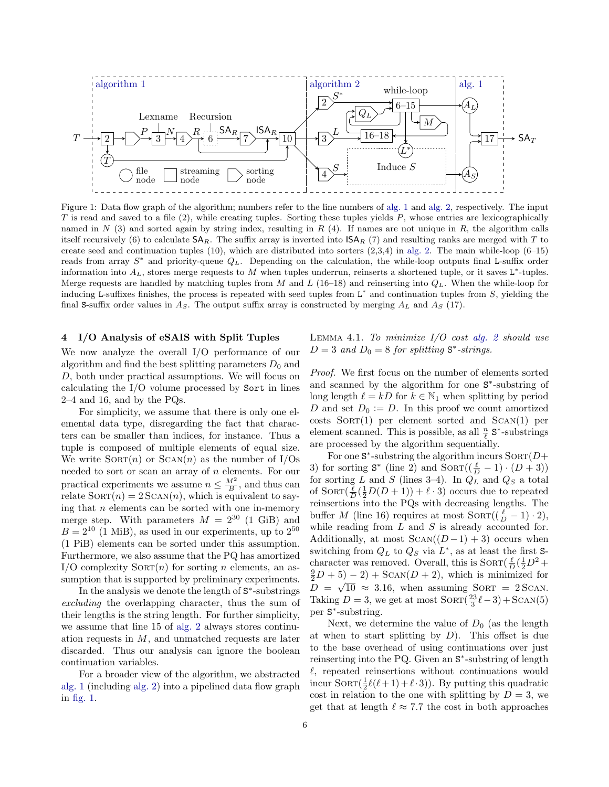<span id="page-5-1"></span>

Figure 1: Data flow graph of the algorithm; numbers refer to the line numbers of [alg. 1](#page-3-0) and [alg. 2,](#page-4-0) respectively. The input  $T$  is read and saved to a file (2), while creating tuples. Sorting these tuples yields  $P$ , whose entries are lexicographically named in  $N$  (3) and sorted again by string index, resulting in  $R$  (4). If names are not unique in  $R$ , the algorithm calls itself recursively (6) to calculate  $SA_R$ . The suffix array is inverted into  $ISA_R$  (7) and resulting ranks are merged with T to create seed and continuation tuples  $(10)$ , which are distributed into sorters  $(2,3,4)$  in [alg. 2.](#page-4-0) The main while-loop  $(6-15)$ reads from array  $S^*$  and priority-queue  $Q_L$ . Depending on the calculation, the while-loop outputs final L-suffix order information into  $A_L$ , stores merge requests to M when tuples underrun, reinserts a shortened tuple, or it saves L<sup>\*</sup>-tuples. Merge requests are handled by matching tuples from M and L (16–18) and reinserting into  $Q_L$ . When the while-loop for inducing L-suffixes finishes, the process is repeated with seed tuples from  $L^*$  and continuation tuples from  $S$ , yielding the final S-suffix order values in  $A<sub>S</sub>$ . The output suffix array is constructed by merging  $A<sub>L</sub>$  and  $A<sub>S</sub>$  (17).

#### <span id="page-5-0"></span>4 I/O Analysis of eSAIS with Split Tuples

We now analyze the overall I/O performance of our algorithm and find the best splitting parameters  $D_0$  and D, both under practical assumptions. We will focus on calculating the I/O volume processed by Sort in lines 2–4 and 16, and by the PQs.

For simplicity, we assume that there is only one elemental data type, disregarding the fact that characters can be smaller than indices, for instance. Thus a tuple is composed of multiple elements of equal size. We write  $SORT(n)$  or  $SCAN(n)$  as the number of I/Os needed to sort or scan an array of  $n$  elements. For our practical experiments we assume  $n \leq \frac{M^2}{B}$ , and thus can relate  $SORT(n) = 2 SCAN(n)$ , which is equivalent to saying that  $n$  elements can be sorted with one in-memory merge step. With parameters  $M = 2^{30}$  (1 GiB) and  $B = 2^{10}$  (1 MiB), as used in our experiments, up to  $2^{50}$ (1 PiB) elements can be sorted under this assumption. Furthermore, we also assume that the PQ has amortized  $I/O$  complexity  $SORT(n)$  for sorting *n* elements, an assumption that is supported by preliminary experiments.

In the analysis we denote the length of  $S^*$ -substrings excluding the overlapping character, thus the sum of their lengths is the string length. For further simplicity, we assume that line 15 of [alg. 2](#page-4-0) always stores continuation requests in  $M$ , and unmatched requests are later discarded. Thus our analysis can ignore the boolean continuation variables.

For a broader view of the algorithm, we abstracted [alg. 1](#page-3-0) (including [alg. 2\)](#page-4-0) into a pipelined data flow graph in [fig. 1.](#page-5-1)

LEMMA 4.1. To minimize  $I/O$  cost [alg. 2](#page-4-0) should use  $D = 3$  and  $D_0 = 8$  for splitting  $S^*$ -strings.

Proof. We first focus on the number of elements sorted and scanned by the algorithm for one  $S^*$ -substring of long length  $\ell = kD$  for  $k \in \mathbb{N}_1$  when splitting by period D and set  $D_0 := D$ . In this proof we count amortized  $costs$  SORT $(1)$  per element sorted and SCAN $(1)$  per element scanned. This is possible, as all  $\frac{n}{\ell}$  **S**<sup>\*</sup>-substrings are processed by the algorithm sequentially.

For one  $S^*$ -substring the algorithm incurs  $SORT(D+)$ 3) for sorting  $S^*$  (line 2) and  $Sorr((\frac{\ell}{D} - 1) \cdot (D + 3))$ for sorting L and S (lines 3–4). In  $Q_L$  and  $Q_S$  a total of  $Sorr(\frac{\ell}{D}(\frac{1}{2}D(D+1))+\ell \cdot 3)$  occurs due to repeated reinsertions into the PQs with decreasing lengths. The buffer M (line 16) requires at most  $Sorr((\frac{\ell}{D} - 1) \cdot 2),$ while reading from  $L$  and  $S$  is already accounted for. Additionally, at most  $SCAN((D-1) + 3)$  occurs when switching from  $Q_L$  to  $Q_S$  via  $L^*$ , as at least the first Scharacter was removed. Overall, this is  $SORT(\frac{\ell}{D}(\frac{1}{2}D^2 +$  $(\frac{9}{2}D+5)-2)+$  SCAN $(D+2)$ , which is minimized for  $D = \sqrt{10} \approx 3.16$ , when assuming SORT = 2 SCAN. Taking  $D = 3$ , we get at most  $Sorr(\frac{23}{3}\ell - 3) + SCAN(5)$ per S ∗ -substring.

Next, we determine the value of  $D_0$  (as the length at when to start splitting by  $D$ ). This offset is due to the base overhead of using continuations over just reinserting into the PQ. Given an  $S^*$ -substring of length  $\ell$ , repeated reinsertions without continuations would incur  $SORT(\frac{1}{2}\ell(\ell+1)+\ell\cdot 3)$ . By putting this quadratic cost in relation to the one with splitting by  $D = 3$ , we get that at length  $\ell \approx 7.7$  the cost in both approaches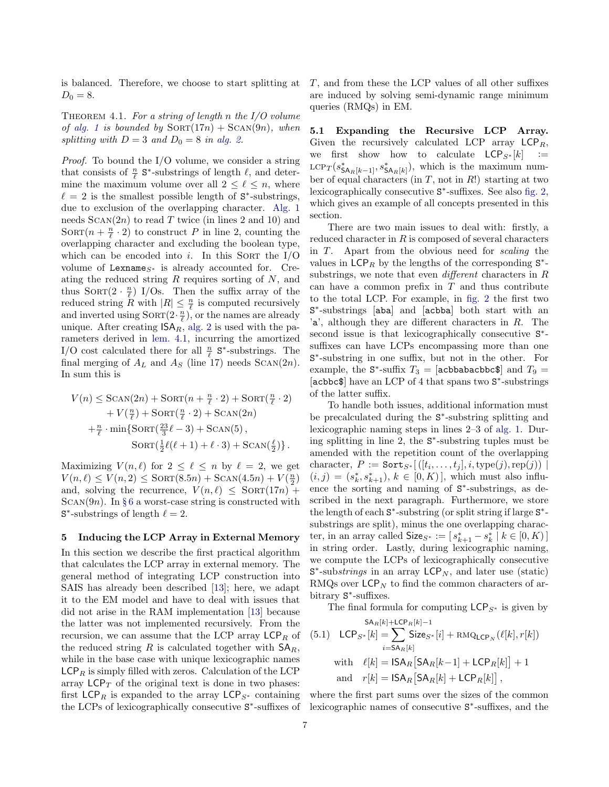is balanced. Therefore, we choose to start splitting at  $D_0 = 8.$ 

THEOREM 4.1. For a string of length n the  $I/O$  volume of [alg. 1](#page-3-0) is bounded by  $SORT(17n) + SCAN(9n)$ , when splitting with  $D = 3$  and  $D_0 = 8$  in [alg. 2.](#page-4-0)

Proof. To bound the I/O volume, we consider a string that consists of  $\frac{n}{\ell}$  **S**<sup>\*</sup>-substrings of length  $\ell$ , and determine the maximum volume over all  $2 \leq \ell \leq n$ , where  $\ell = 2$  is the smallest possible length of S<sup>\*</sup>-substrings, due to exclusion of the overlapping character. [Alg. 1](#page-3-0) needs  $ScAN(2n)$  to read T twice (in lines 2 and 10) and SORT $(n + \frac{n}{\ell} \cdot 2)$  to construct P in line 2, counting the overlapping character and excluding the boolean type, which can be encoded into i. In this SORT the  $I/O$ volume of Lexname<sub>S<sup>\*</sub></sup> is already accounted for. Cre-</sub> ating the reduced string  $R$  requires sorting of  $N$ , and thus  $Sorr(2 \cdot \frac{n}{\ell})$  I/Os. Then the suffix array of the reduced string  $\tilde{R}$  with  $|R| \leq \frac{n}{\ell}$  is computed recursively and inverted using  $SORT(2 \cdot \frac{n}{\ell})$ , or the names are already unique. After creating  $\mathsf{ISA}_R$ , [alg. 2](#page-4-0) is used with the parameters derived in [lem. 4.1,](#page-2-1) incurring the amortized I/O cost calculated there for all  $\frac{n}{\ell}$  **S**<sup>\*</sup>-substrings. The final merging of  $A_L$  and  $A_S$  (line 17) needs SCAN(2n). In sum this is

$$
V(n) \leq \text{SCAN}(2n) + \text{SORT}(n + \frac{n}{\ell} \cdot 2) + \text{SORT}(\frac{n}{\ell} \cdot 2)
$$
  
+ 
$$
V(\frac{n}{\ell}) + \text{SORT}(\frac{n}{\ell} \cdot 2) + \text{SCAN}(2n)
$$
  
+ 
$$
\frac{n}{\ell} \cdot \min\{\text{SORT}(\frac{23}{3}\ell - 3) + \text{SCAN}(5),
$$
  

$$
\text{SORT}(\frac{1}{2}\ell(\ell + 1) + \ell \cdot 3) + \text{SCAN}(\frac{\ell}{2})\}.
$$

Maximizing  $V(n, \ell)$  for  $2 \leq \ell \leq n$  by  $\ell = 2$ , we get  $V(n,\ell) \leq V(n,2) \leq \text{Sort}(8.5n) + \text{SCAN}(4.5n) + V(\frac{n}{2})$ and, solving the recurrence,  $V(n, \ell) \leq \text{SORT}(17n) +$ SCAN(9n). In §[6](#page-9-0) a worst-case string is constructed with S<sup>\*</sup>-substrings of length  $\ell = 2$ .

#### 5 Inducing the LCP Array in External Memory

In this section we describe the first practical algorithm that calculates the LCP array in external memory. The general method of integrating LCP construction into SAIS has already been described [\[13\]](#page-13-8); here, we adapt it to the EM model and have to deal with issues that did not arise in the RAM implementation [\[13\]](#page-13-8) because the latter was not implemented recursively. From the recursion, we can assume that the LCP array  $\mathsf{LCP}_R$  of the reduced string R is calculated together with  $\mathsf{SA}_R$ , while in the base case with unique lexicographic names  $\mathsf{LCP}_R$  is simply filled with zeros. Calculation of the LCP array  $LCP_T$  of the original text is done in two phases: first  $\mathsf{LCP}_R$  is expanded to the array  $\mathsf{LCP}_{S^*}$  containing the LCPs of lexicographically consecutive S<sup>\*</sup>-suffixes of

T, and from these the LCP values of all other suffixes are induced by solving semi-dynamic range minimum queries (RMQs) in EM.

5.1 Expanding the Recursive LCP Array. Given the recursively calculated LCP array  $\mathsf{LCP}_R$ , we first show how to calculate  $\mathsf{LCP}_{S^*}[k] :=$  $\text{LCP}_T (s_{\mathsf{SA}_R[k-1]}^*, s_{\mathsf{SA}_R[k]}^*)$ , which is the maximum number of equal characters (in  $T$ , not in  $R!$ ) starting at two lexicographically consecutive  $S^*$ -suffixes. See also [fig. 2,](#page-7-0) which gives an example of all concepts presented in this section.

There are two main issues to deal with: firstly, a reduced character in  $R$  is composed of several characters in T. Apart from the obvious need for scaling the values in  $\mathsf{LCP}_R$  by the lengths of the corresponding  $S^*$ substrings, we note that even different characters in R can have a common prefix in  $T$  and thus contribute to the total LCP. For example, in [fig. 2](#page-7-0) the first two S ∗ -substrings [aba] and [acbba] both start with an 'a', although they are different characters in R. The second issue is that lexicographically consecutive  $S^*$ suffixes can have LCPs encompassing more than one S ∗ -substring in one suffix, but not in the other. For example, the  $S^*$ -suffix  $T_3 = [\text{acbbab} \text{babc} \text{bbc} \text{c} \text{b}]$  and  $T_9 =$ [acbbc\$] have an LCP of 4 that spans two S<sup>\*</sup>-substrings of the latter suffix.

To handle both issues, additional information must be precalculated during the  $S^*$ -substring splitting and lexicographic naming steps in lines 2–3 of [alg. 1.](#page-3-0) During splitting in line 2, the S ∗ -substring tuples must be amended with the repetition count of the overlapping character,  $P := \mathtt{Sort}_{S^*}[(t_i, \ldots, t_j], i, \text{type}(j), \text{rep}(j))$  $(i, j) = (s_k^*, s_{k+1}^*), k \in [0, K)$ , which must also influence the sorting and naming of  $S^*$ -substrings, as described in the next paragraph. Furthermore, we store the length of each  $S^*$ -substring (or split string if large  $S^*$ substrings are split), minus the one overlapping character, in an array called  $\textsf{Size}_{S^*} := [s_{k+1}^* - s_k^* \mid k \in [0, K)]$ in string order. Lastly, during lexicographic naming, we compute the LCPs of lexicographically consecutive  $S^*$ -substrings in an array  $\mathsf{LCP}_N$ , and later use (static) RMQs over  $\mathsf{LCP}_N$  to find the common characters of arbitrary  $S^*$ -suffixes.

The final formula for computing  $\mathsf{LCP}_{S^*}$  is given by

<span id="page-6-0"></span>
$$
\begin{aligned}\n&\text{SA}_{R}[k] + \text{LCP}_{R}[k] - 1 \\
&\text{(5.1)} \quad \text{LCP}_{S^*}[k] = \sum_{i = \text{SA}_{R}[k]} \text{Size}_{S^*}[i] + \text{RMQ}_{\text{LCP}_{N}}(\ell[k], r[k]) \\
&\text{with} \quad \ell[k] = \text{ISA}_{R}\left[\text{SA}_{R}[k-1] + \text{LCP}_{R}[k]\right] + 1 \\
&\text{and} \quad r[k] = \text{ISA}_{R}\left[\text{SA}_{R}[k] + \text{LCP}_{R}[k]\right],\n\end{aligned}
$$

where the first part sums over the sizes of the common lexicographic names of consecutive S ∗ -suffixes, and the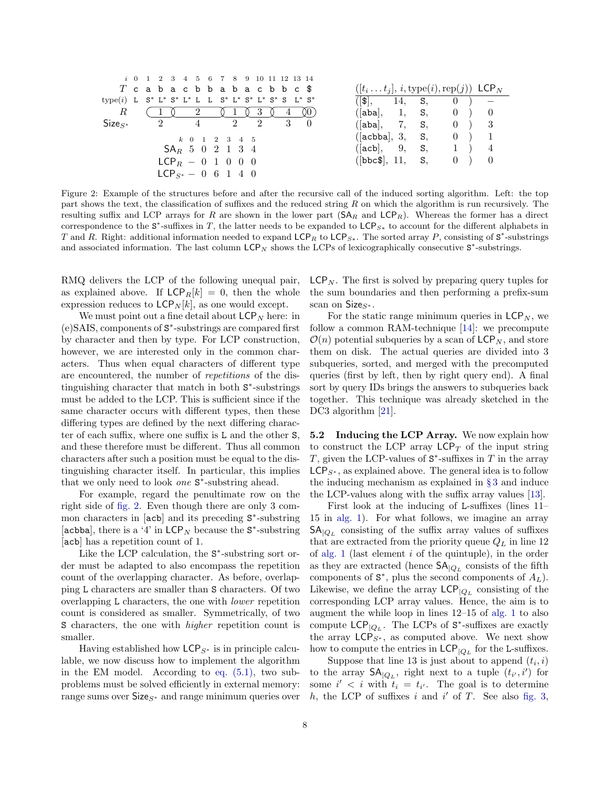<span id="page-7-0"></span>

|              | i 0 1 2 3 4 5 6 7 8 9 10 11 12 13 14                 |                                                                        |
|--------------|------------------------------------------------------|------------------------------------------------------------------------|
|              | $T$ cabacbbabacbbc $\text{\$}$                       | $([t_i \dots t_j], i, \text{type}(i), \text{rep}(j))$ LCP <sub>N</sub> |
|              | type(i) L S* L* S* L* L L S* L* S* L* S* S L* S*     | $( \mathbf{\$} , \quad 14, \quad \mathbf{S}, \quad 0)$ –               |
| $R_{\rm}$    | 0 <sub>3</sub><br>$\overline{2}$ (<br>$\overline{4}$ | ([aba], 1, S, 0) 0                                                     |
| $Size_{S^*}$ | $\overline{2}$<br>$4 \t 2 \t 2 \t 3 \t 0$            | ([aba], 7, S, 0) 3                                                     |
|              | k 0 1 2 3 4 5                                        | ( acbba, 3, S, 0) 1                                                    |
|              | $SA_R$ 5 0 2 1 3 4                                   | ([acb], 9, S, 1) 4                                                     |
|              | $LCP_B = 0 \; 1 \; 0 \; 0 \; 0$                      | $( \text{bbc}, 11, S, 0) 0$                                            |
|              | $LCP_{S^*} = 0 \t6 \t1 \t4 \t0$                      |                                                                        |

Figure 2: Example of the structures before and after the recursive call of the induced sorting algorithm. Left: the top part shows the text, the classification of suffixes and the reduced string  $R$  on which the algorithm is run recursively. The resulting suffix and LCP arrays for R are shown in the lower part  $(SA_R \text{ and } LCP_R)$ . Whereas the former has a direct correspondence to the  $S^*$ -suffixes in T, the latter needs to be expanded to  $LCP_{S*}$  to account for the different alphabets in T and R. Right: additional information needed to expand LCP<sub>R</sub> to LCP<sub>S\*</sub>. The sorted array P, consisting of  $S^*$ -substrings and associated information. The last column  $\mathsf{LCP}_N$  shows the LCPs of lexicographically consecutive  $\mathsf{S}^*$ -substrings.

RMQ delivers the LCP of the following unequal pair, as explained above. If  $\mathsf{LCP}_R[k] = 0$ , then the whole expression reduces to  $\mathsf{LCP}_N[k]$ , as one would except.

We must point out a fine detail about  $\mathsf{LCP}_N$  here: in (e)SAIS, components of S ∗ -substrings are compared first by character and then by type. For LCP construction, however, we are interested only in the common characters. Thus when equal characters of different type are encountered, the number of repetitions of the distinguishing character that match in both S<sup>∗</sup>-substrings must be added to the LCP. This is sufficient since if the same character occurs with different types, then these differing types are defined by the next differing character of each suffix, where one suffix is L and the other S, and these therefore must be different. Thus all common characters after such a position must be equal to the distinguishing character itself. In particular, this implies that we only need to look *one*  $S^*$ -substring ahead.

For example, regard the penultimate row on the right side of [fig. 2.](#page-7-0) Even though there are only 3 common characters in [acb] and its preceding  $S^*$ -substring [acbba], there is a '4' in  $\mathsf{LCP}_N$  because the S\*-substring [acb] has a repetition count of 1.

Like the LCP calculation, the  $S^*$ -substring sort order must be adapted to also encompass the repetition count of the overlapping character. As before, overlapping L characters are smaller than S characters. Of two overlapping L characters, the one with lower repetition count is considered as smaller. Symmetrically, of two S characters, the one with *higher* repetition count is smaller.

Having established how  $\mathsf{LCP}_{S^*}$  is in principle calculable, we now discuss how to implement the algorithm in the EM model. According to [eq. \(5.1\),](#page-6-0) two subproblems must be solved efficiently in external memory: range sums over  $Size_{S^*}$  and range minimum queries over  $\mathsf{LCP}_N$ . The first is solved by preparing query tuples for the sum boundaries and then performing a prefix-sum scan on  $Size_{S^*}$ .

For the static range minimum queries in  $\mathsf{LCP}_N$ , we follow a common RAM-technique [\[14\]](#page-13-19): we precompute  $\mathcal{O}(n)$  potential subqueries by a scan of  $\mathsf{LCP}_N$ , and store them on disk. The actual queries are divided into 3 subqueries, sorted, and merged with the precomputed queries (first by left, then by right query end). A final sort by query IDs brings the answers to subqueries back together. This technique was already sketched in the DC3 algorithm [\[21\]](#page-13-4).

5.2 Inducing the LCP Array. We now explain how to construct the LCP array  $\mathsf{LCP}_T$  of the input string T, given the LCP-values of  $S^*$ -suffixes in T in the array  $\mathsf{LCP}_{S^*}$ , as explained above. The general idea is to follow the inducing mechanism as explained in § [3](#page-2-0) and induce the LCP-values along with the suffix array values [\[13\]](#page-13-8).

First look at the inducing of L-suffixes (lines 11– 15 in [alg. 1\)](#page-3-0). For what follows, we imagine an array  $SA_{\vert Q_L}$  consisting of the suffix array values of suffixes that are extracted from the priority queue  $Q_L$  in line 12 of [alg. 1](#page-3-0) (last element  $i$  of the quintuple), in the order as they are extracted (hence  $\mathsf{SA}_{\vert Q_L}$  consists of the fifth components of  $S^*$ , plus the second components of  $A_L$ ). Likewise, we define the array  $\mathsf{LCP}_{|Q_L}$  consisting of the corresponding LCP array values. Hence, the aim is to augment the while loop in lines 12–15 of [alg. 1](#page-3-0) to also compute  $\mathsf{LCP}_{|Q_L}$ . The LCPs of  $\mathsf{S}^*$ -suffixes are exactly the array  $LCP_{S^*}$ , as computed above. We next show how to compute the entries in  $\mathsf{LCP}_{|Q_L}$  for the L-suffixes.

Suppose that line 13 is just about to append  $(t_i, i)$ to the array  $\mathsf{SA}_{\mathsf{Q}_L}$ , right next to a tuple  $(t_{i'}, i')$  for some  $i' < i$  with  $t_i = t_{i'}$ . The goal is to determine  $h$ , the LCP of suffixes  $i$  and  $i'$  of  $T$ . See also [fig. 3,](#page-8-1)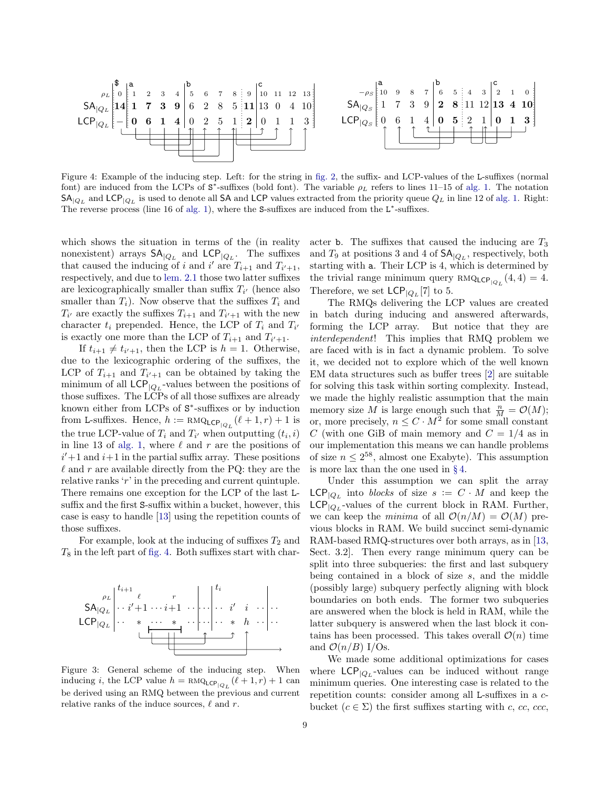<span id="page-8-0"></span>

Figure 4: Example of the inducing step. Left: for the string in [fig. 2,](#page-7-0) the suffix- and LCP-values of the L-suffixes (normal font) are induced from the LCPs of  $S^*$ -suffixes (bold font). The variable  $\rho_L$  refers to lines 11–15 of [alg. 1.](#page-3-0) The notation  $\mathsf{SA}_{\vert Q_L}$  and  $\mathsf{LCP}_{\vert Q_L}$  is used to denote all SA and LCP values extracted from the priority queue  $Q_L$  in line 12 of [alg. 1.](#page-3-0) Right: The reverse process (line 16 of [alg. 1\)](#page-3-0), where the S-suffixes are induced from the  $L^*$ -suffixes.

which shows the situation in terms of the (in reality nonexistent) arrays  $SA_{|Q_L}$  and  $LCP_{|Q_L}$ . The suffixes that caused the inducing of i and i' are  $T_{i+1}$  and  $T_{i'+1}$ , respectively, and due to [lem. 2.1](#page-2-1) those two latter suffixes are lexicographically smaller than suffix  $T_{i'}$  (hence also smaller than  $T_i$ ). Now observe that the suffixes  $T_i$  and  $T_{i'}$  are exactly the suffixes  $T_{i+1}$  and  $T_{i'+1}$  with the new character  $t_i$  prepended. Hence, the LCP of  $T_i$  and  $T_{i'}$ is exactly one more than the LCP of  $T_{i+1}$  and  $T_{i'+1}$ .

If  $t_{i+1} \neq t_{i'+1}$ , then the LCP is  $h = 1$ . Otherwise, due to the lexicographic ordering of the suffixes, the LCP of  $T_{i+1}$  and  $T_{i'+1}$  can be obtained by taking the minimum of all  $\mathsf{LCP}_{|Q_L}$ -values between the positions of those suffixes. The LCPs of all those suffixes are already known either from LCPs of  $S^*$ -suffixes or by induction from L-suffixes. Hence,  $h := \text{RMQ}_{\text{LCP}_{|Q_L}}(\ell+1, r) + 1$  is the true LCP-value of  $T_i$  and  $T_{i'}$  when outputting  $(t_i, i)$ in line 13 of [alg. 1,](#page-3-0) where  $\ell$  and r are the positions of  $i'+1$  and  $i+1$  in the partial suffix array. These positions  $\ell$  and r are available directly from the PQ: they are the relative ranks 'r' in the preceding and current quintuple. There remains one exception for the LCP of the last Lsuffix and the first S-suffix within a bucket, however, this case is easy to handle [\[13\]](#page-13-8) using the repetition counts of those suffixes.

For example, look at the inducing of suffixes  $T_2$  and  $T_8$  in the left part of [fig. 4.](#page-8-0) Both suffixes start with char-

<span id="page-8-1"></span>

Figure 3: General scheme of the inducing step. When inducing *i*, the LCP value  $h = \text{RMQ}_{\text{LCP}}(\ell + 1, r) + 1$  can be derived using an RMQ between the previous and current relative ranks of the induce sources,  $\ell$  and r.

acter **b**. The suffixes that caused the inducing are  $T_3$ and  $T_9$  at positions 3 and 4 of  $\mathsf{SA}_{\mathsf{Q}_L}$ , respectively, both starting with a. Their LCP is 4, which is determined by the trivial range minimum query  $RMQ_{\text{LCP}}(4, 4) = 4$ . Therefore, we set  $\mathsf{LCP}_{|Q_L}[7]$  to 5.

The RMQs delivering the LCP values are created in batch during inducing and answered afterwards, forming the LCP array. But notice that they are interdependent! This implies that RMQ problem we are faced with is in fact a dynamic problem. To solve it, we decided not to explore which of the well known EM data structures such as buffer trees [\[2\]](#page-13-13) are suitable for solving this task within sorting complexity. Instead, we made the highly realistic assumption that the main memory size M is large enough such that  $\frac{n}{M} = \mathcal{O}(M);$ or, more precisely,  $n \leq C \cdot M^2$  for some small constant C (with one GiB of main memory and  $C = 1/4$  as in our implementation this means we can handle problems of size  $n \leq 2^{58}$ , almost one Exabyte). This assumption is more lax than the one used in § [4.](#page-5-0)

Under this assumption we can split the array  $\mathsf{LCP}_{|Q_L}$  into blocks of size  $s := C \cdot M$  and keep the  $\mathsf{LCP}_{|Q_L}$ -values of the current block in RAM. Further, we can keep the *minima* of all  $\mathcal{O}(n/M) = \mathcal{O}(M)$  previous blocks in RAM. We build succinct semi-dynamic RAM-based RMQ-structures over both arrays, as in [\[13,](#page-13-8) Sect. 3.2]. Then every range minimum query can be split into three subqueries: the first and last subquery being contained in a block of size s, and the middle (possibly large) subquery perfectly aligning with block boundaries on both ends. The former two subqueries are answered when the block is held in RAM, while the latter subquery is answered when the last block it contains has been processed. This takes overall  $\mathcal{O}(n)$  time and  $\mathcal{O}(n/B)$  I/Os.

We made some additional optimizations for cases where  $\mathsf{LCP}_{|Q_L}$ -values can be induced without range minimum queries. One interesting case is related to the repetition counts: consider among all L-suffixes in a cbucket  $(c \in \Sigma)$  the first suffixes starting with c, cc, ccc,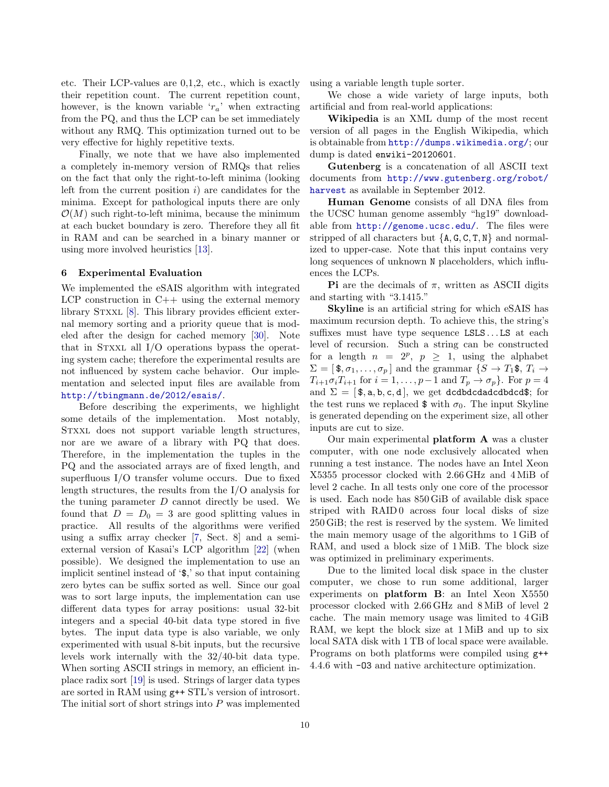etc. Their LCP-values are 0,1,2, etc., which is exactly their repetition count. The current repetition count, however, is the known variable  $r_a$ ' when extracting from the PQ, and thus the LCP can be set immediately without any RMQ. This optimization turned out to be very effective for highly repetitive texts.

Finally, we note that we have also implemented a completely in-memory version of RMQs that relies on the fact that only the right-to-left minima (looking left from the current position  $i$ ) are candidates for the minima. Except for pathological inputs there are only  $\mathcal{O}(M)$  such right-to-left minima, because the minimum at each bucket boundary is zero. Therefore they all fit in RAM and can be searched in a binary manner or using more involved heuristics [\[13\]](#page-13-8).

#### <span id="page-9-0"></span>6 Experimental Evaluation

We implemented the eSAIS algorithm with integrated LCP construction in  $C++$  using the external memory library STXXL [\[8\]](#page-13-14). This library provides efficient external memory sorting and a priority queue that is modeled after the design for cached memory [\[30\]](#page-14-6). Note that in STXXL all  $I/O$  operations bypass the operating system cache; therefore the experimental results are not influenced by system cache behavior. Our implementation and selected input files are available from <http://tbingmann.de/2012/esais/>.

Before describing the experiments, we highlight some details of the implementation. Most notably, Stxxl does not support variable length structures, nor are we aware of a library with PQ that does. Therefore, in the implementation the tuples in the PQ and the associated arrays are of fixed length, and superfluous I/O transfer volume occurs. Due to fixed length structures, the results from the I/O analysis for the tuning parameter  $D$  cannot directly be used. We found that  $D = D_0 = 3$  are good splitting values in practice. All results of the algorithms were verified using a suffix array checker [\[7,](#page-13-6) Sect. 8] and a semiexternal version of Kasai's LCP algorithm [\[22\]](#page-13-20) (when possible). We designed the implementation to use an implicit sentinel instead of '\$,' so that input containing zero bytes can be suffix sorted as well. Since our goal was to sort large inputs, the implementation can use different data types for array positions: usual 32-bit integers and a special 40-bit data type stored in five bytes. The input data type is also variable, we only experimented with usual 8-bit inputs, but the recursive levels work internally with the 32/40-bit data type. When sorting ASCII strings in memory, an efficient inplace radix sort [\[19\]](#page-13-21) is used. Strings of larger data types are sorted in RAM using g++ STL's version of introsort. The initial sort of short strings into  $P$  was implemented using a variable length tuple sorter.

We chose a wide variety of large inputs, both artificial and from real-world applications:

Wikipedia is an XML dump of the most recent version of all pages in the English Wikipedia, which is obtainable from <http://dumps.wikimedia.org/>; our dump is dated enwiki-20120601.

Gutenberg is a concatenation of all ASCII text documents from [http://www.gutenberg.org/robot/](http://www.gutenberg.org/robot/harvest) [harvest](http://www.gutenberg.org/robot/harvest) as available in September 2012.

Human Genome consists of all DNA files from the UCSC human genome assembly "hg19" downloadable from <http://genome.ucsc.edu/>. The files were stripped of all characters but  $\{A, G, C, T, N\}$  and normalized to upper-case. Note that this input contains very long sequences of unknown N placeholders, which influences the LCPs.

**Pi** are the decimals of  $\pi$ , written as ASCII digits and starting with "3.1415."

Skyline is an artificial string for which eSAIS has maximum recursion depth. To achieve this, the string's suffixes must have type sequence LSLS...LS at each level of recursion. Such a string can be constructed for a length  $n = 2^p$ ,  $p \ge 1$ , using the alphabet  $\Sigma = [\mathbf{\$}, \sigma_1, \ldots, \sigma_p]$  and the grammar  $\{S \to T_1\mathbf{\$}, T_i \to$  $T_{i+1}\sigma_iT_{i+1}$  for  $i=1,\ldots,p-1$  and  $T_p\to\sigma_p$ . For  $p=4$ and  $\Sigma = [\, \text{\$}, \text{\a}, \text{\b}, \text{\c}, \text{\d}, \text{\c}]\,$ , we get dcdbdcdadcdbdcd\$; for the test runs we replaced  $\frac{1}{2}$  with  $\sigma_0$ . The input Skyline is generated depending on the experiment size, all other inputs are cut to size.

Our main experimental platform A was a cluster computer, with one node exclusively allocated when running a test instance. The nodes have an Intel Xeon X5355 processor clocked with 2.66 GHz and 4 MiB of level 2 cache. In all tests only one core of the processor is used. Each node has 850 GiB of available disk space striped with RAID<sub>0</sub> across four local disks of size 250 GiB; the rest is reserved by the system. We limited the main memory usage of the algorithms to 1 GiB of RAM, and used a block size of 1 MiB. The block size was optimized in preliminary experiments.

Due to the limited local disk space in the cluster computer, we chose to run some additional, larger experiments on **platform B**: an Intel Xeon X5550 processor clocked with 2.66 GHz and 8 MiB of level 2 cache. The main memory usage was limited to 4 GiB RAM, we kept the block size at 1 MiB and up to six local SATA disk with 1 TB of local space were available. Programs on both platforms were compiled using g++ 4.4.6 with -O3 and native architecture optimization.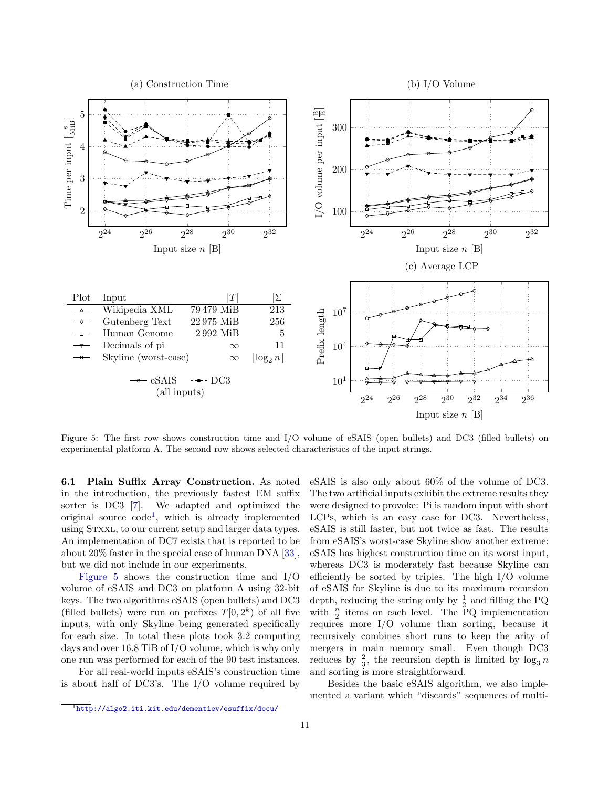<span id="page-10-1"></span>

Figure 5: The first row shows construction time and I/O volume of eSAIS (open bullets) and DC3 (filled bullets) on experimental platform A. The second row shows selected characteristics of the input strings.

6.1 Plain Suffix Array Construction. As noted in the introduction, the previously fastest EM suffix sorter is DC3 [\[7\]](#page-13-6). We adapted and optimized the original source code[1](#page-10-0) , which is already implemented using Stxxl, to our current setup and larger data types. An implementation of DC7 exists that is reported to be about 20% faster in the special case of human DNA [\[33\]](#page-14-5), but we did not include in our experiments.

[Figure 5](#page-10-1) shows the construction time and I/O volume of eSAIS and DC3 on platform A using 32-bit keys. The two algorithms eSAIS (open bullets) and DC3 (filled bullets) were run on prefixes  $T[0, 2^k)$  of all five inputs, with only Skyline being generated specifically for each size. In total these plots took 3.2 computing days and over 16.8 TiB of I/O volume, which is why only one run was performed for each of the 90 test instances.

For all real-world inputs eSAIS's construction time is about half of DC3's. The I/O volume required by

eSAIS is also only about 60% of the volume of DC3. The two artificial inputs exhibit the extreme results they were designed to provoke: Pi is random input with short LCPs, which is an easy case for DC3. Nevertheless, eSAIS is still faster, but not twice as fast. The results from eSAIS's worst-case Skyline show another extreme: eSAIS has highest construction time on its worst input, whereas DC3 is moderately fast because Skyline can efficiently be sorted by triples. The high I/O volume of eSAIS for Skyline is due to its maximum recursion depth, reducing the string only by  $\frac{1}{2}$  and filling the PQ with  $\frac{n}{2}$  items on each level. The PQ implementation requires more I/O volume than sorting, because it recursively combines short runs to keep the arity of mergers in main memory small. Even though DC3 reduces by  $\frac{2}{3}$ , the recursion depth is limited by  $\log_3 n$ and sorting is more straightforward.

Besides the basic eSAIS algorithm, we also implemented a variant which "discards" sequences of multi-

<span id="page-10-0"></span> $\overline{1_{\text{http://algo2.iti.kit.edu/dementiev/esuffix/docu/}}$  $\overline{1_{\text{http://algo2.iti.kit.edu/dementiev/esuffix/docu/}}$  $\overline{1_{\text{http://algo2.iti.kit.edu/dementiev/esuffix/docu/}}$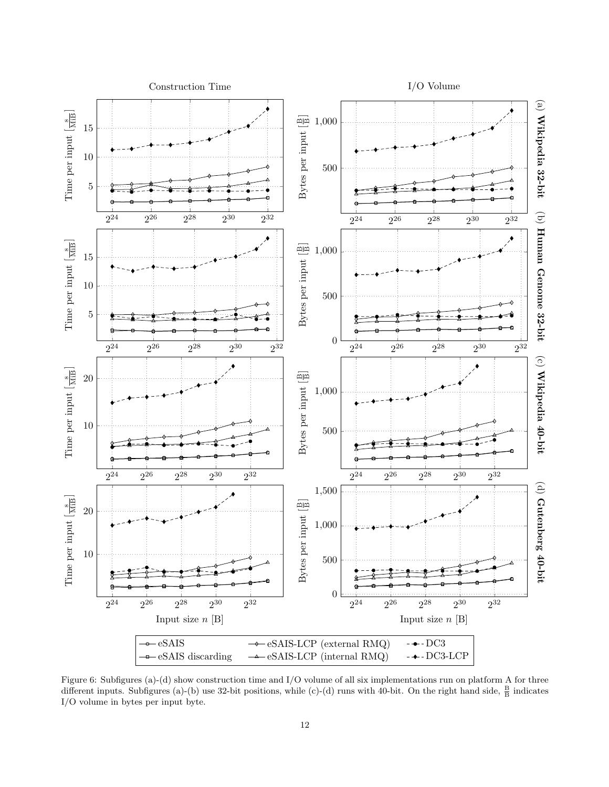<span id="page-11-0"></span>

Figure 6: Subfigures (a)-(d) show construction time and I/O volume of all six implementations run on platform A for three different inputs. Subfigures (a)-(b) use 32-bit positions, while (c)-(d) runs with 40-bit. On the right hand side,  $\frac{B}{B}$  indicates I/O volume in bytes per input byte.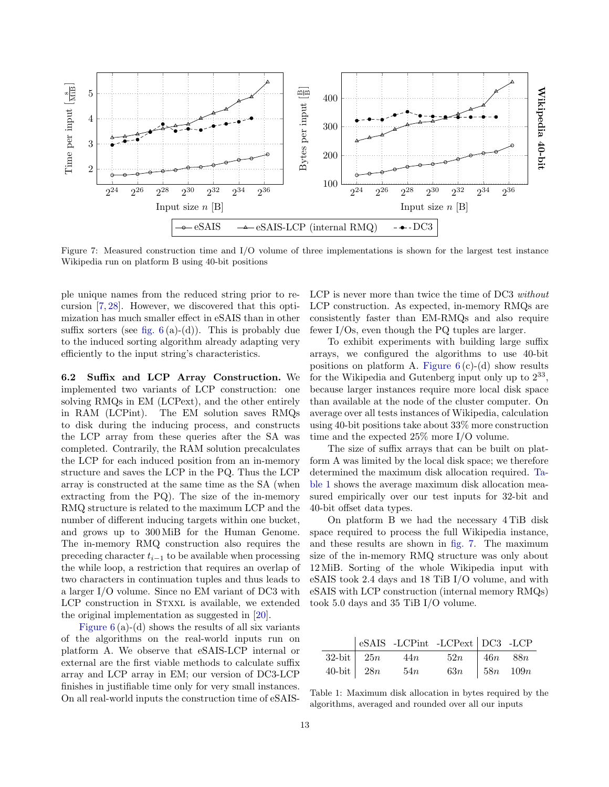<span id="page-12-1"></span>

Figure 7: Measured construction time and I/O volume of three implementations is shown for the largest test instance Wikipedia run on platform B using 40-bit positions

ple unique names from the reduced string prior to recursion [\[7,](#page-13-6) [28\]](#page-14-8). However, we discovered that this optimization has much smaller effect in eSAIS than in other suffix sorters (see fig.  $6(a)-(d)$ ). This is probably due to the induced sorting algorithm already adapting very efficiently to the input string's characteristics.

6.2 Suffix and LCP Array Construction. We implemented two variants of LCP construction: one solving RMQs in EM (LCPext), and the other entirely in RAM (LCPint). The EM solution saves RMQs to disk during the inducing process, and constructs the LCP array from these queries after the SA was completed. Contrarily, the RAM solution precalculates the LCP for each induced position from an in-memory structure and saves the LCP in the PQ. Thus the LCP array is constructed at the same time as the SA (when extracting from the PQ). The size of the in-memory RMQ structure is related to the maximum LCP and the number of different inducing targets within one bucket, and grows up to 300 MiB for the Human Genome. The in-memory RMQ construction also requires the preceding character  $t_{i-1}$  to be available when processing the while loop, a restriction that requires an overlap of two characters in continuation tuples and thus leads to a larger I/O volume. Since no EM variant of DC3 with LCP construction in STXXL is available, we extended the original implementation as suggested in [\[20\]](#page-13-22).

Figure  $6(a)$ -(d) shows the results of all six variants of the algorithms on the real-world inputs run on platform A. We observe that eSAIS-LCP internal or external are the first viable methods to calculate suffix array and LCP array in EM; our version of DC3-LCP finishes in justifiable time only for very small instances. On all real-world inputs the construction time of eSAIS-

LCP is never more than twice the time of DC3 without LCP construction. As expected, in-memory RMQs are consistently faster than EM-RMQs and also require fewer I/Os, even though the PQ tuples are larger.

To exhibit experiments with building large suffix arrays, we configured the algorithms to use 40-bit positions on platform A. Figure  $6(c)-(d)$  show results for the Wikipedia and Gutenberg input only up to  $2^{33}$ , because larger instances require more local disk space than available at the node of the cluster computer. On average over all tests instances of Wikipedia, calculation using 40-bit positions take about 33% more construction time and the expected 25% more I/O volume.

The size of suffix arrays that can be built on platform A was limited by the local disk space; we therefore determined the maximum disk allocation required. [Ta](#page-12-0)[ble 1](#page-12-0) shows the average maximum disk allocation measured empirically over our test inputs for 32-bit and 40-bit offset data types.

On platform B we had the necessary 4 TiB disk space required to process the full Wikipedia instance, and these results are shown in [fig. 7.](#page-12-1) The maximum size of the in-memory RMQ structure was only about 12 MiB. Sorting of the whole Wikipedia input with eSAIS took 2.4 days and 18 TiB I/O volume, and with eSAIS with LCP construction (internal memory RMQs) took 5.0 days and 35 TiB I/O volume.

<span id="page-12-0"></span>

|                 |                       | $\vert$ eSAIS -LCPint -LCPext $\vert$ DC3 -LCP |  |
|-----------------|-----------------------|------------------------------------------------|--|
|                 | $32$ -bit $25n$ $44n$ | $52n$ 46n 88n                                  |  |
| $40$ -bit $28n$ | 54n                   | 63 <i>n</i>   58 <i>n</i> 109 <i>n</i>         |  |

Table 1: Maximum disk allocation in bytes required by the algorithms, averaged and rounded over all our inputs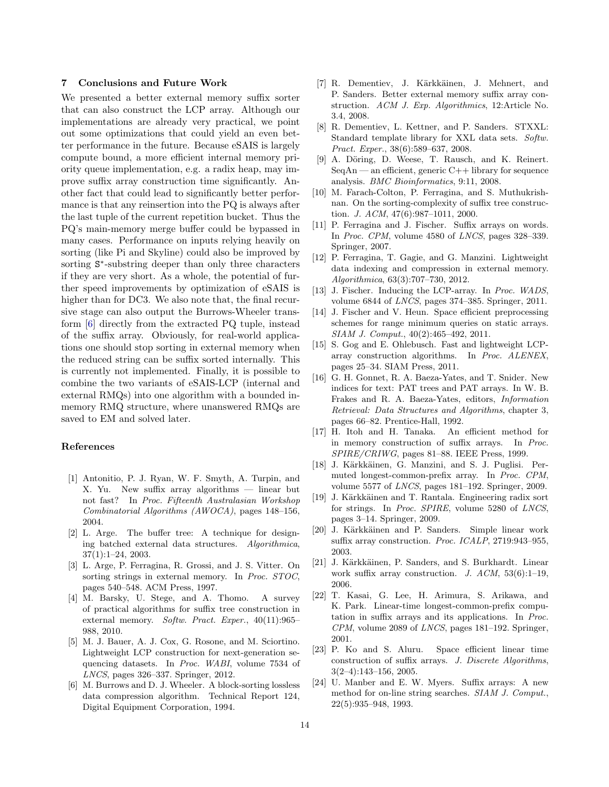#### 7 Conclusions and Future Work

We presented a better external memory suffix sorter that can also construct the LCP array. Although our implementations are already very practical, we point out some optimizations that could yield an even better performance in the future. Because eSAIS is largely compute bound, a more efficient internal memory priority queue implementation, e.g. a radix heap, may improve suffix array construction time significantly. Another fact that could lead to significantly better performance is that any reinsertion into the PQ is always after the last tuple of the current repetition bucket. Thus the PQ's main-memory merge buffer could be bypassed in many cases. Performance on inputs relying heavily on sorting (like Pi and Skyline) could also be improved by sorting  $S^*$ -substring deeper than only three characters if they are very short. As a whole, the potential of further speed improvements by optimization of eSAIS is higher than for DC3. We also note that, the final recursive stage can also output the Burrows-Wheeler transform [\[6\]](#page-13-23) directly from the extracted PQ tuple, instead of the suffix array. Obviously, for real-world applications one should stop sorting in external memory when the reduced string can be suffix sorted internally. This is currently not implemented. Finally, it is possible to combine the two variants of eSAIS-LCP (internal and external RMQs) into one algorithm with a bounded inmemory RMQ structure, where unanswered RMQs are saved to EM and solved later.

### References

- <span id="page-13-3"></span>[1] Antonitio, P. J. Ryan, W. F. Smyth, A. Turpin, and X. Yu. New suffix array algorithms — linear but not fast? In Proc. Fifteenth Australasian Workshop Combinatorial Algorithms (AWOCA), pages 148–156, 2004.
- <span id="page-13-13"></span>[2] L. Arge. The buffer tree: A technique for designing batched external data structures. Algorithmica, 37(1):1–24, 2003.
- <span id="page-13-15"></span>[3] L. Arge, P. Ferragina, R. Grossi, and J. S. Vitter. On sorting strings in external memory. In Proc. STOC, pages 540–548. ACM Press, 1997.
- <span id="page-13-12"></span>[4] M. Barsky, U. Stege, and A. Thomo. A survey of practical algorithms for suffix tree construction in external memory. Softw. Pract. Exper., 40(11):965– 988, 2010.
- <span id="page-13-17"></span>[5] M. J. Bauer, A. J. Cox, G. Rosone, and M. Sciortino. Lightweight LCP construction for next-generation sequencing datasets. In Proc. WABI, volume 7534 of LNCS, pages 326–337. Springer, 2012.
- <span id="page-13-23"></span>[6] M. Burrows and D. J. Wheeler. A block-sorting lossless data compression algorithm. Technical Report 124, Digital Equipment Corporation, 1994.
- <span id="page-13-6"></span>[7] R. Dementiev, J. Kärkkäinen, J. Mehnert, and P. Sanders. Better external memory suffix array construction. ACM J. Exp. Algorithmics, 12:Article No. 3.4, 2008.
- <span id="page-13-14"></span>[8] R. Dementiev, L. Kettner, and P. Sanders. STXXL: Standard template library for XXL data sets. Softw. Pract. Exper., 38(6):589–637, 2008.
- <span id="page-13-7"></span>[9] A. Döring, D. Weese, T. Rausch, and K. Reinert.  $SeqAn$  — an efficient, generic  $C++$  library for sequence analysis. BMC Bioinformatics, 9:11, 2008.
- <span id="page-13-9"></span>[10] M. Farach-Colton, P. Ferragina, and S. Muthukrishnan. On the sorting-complexity of suffix tree construction. J. ACM, 47(6):987–1011, 2000.
- <span id="page-13-2"></span>[11] P. Ferragina and J. Fischer. Suffix arrays on words. In Proc. CPM, volume 4580 of LNCS, pages 328–339. Springer, 2007.
- <span id="page-13-16"></span>[12] P. Ferragina, T. Gagie, and G. Manzini. Lightweight data indexing and compression in external memory. Algorithmica, 63(3):707–730, 2012.
- <span id="page-13-8"></span>[13] J. Fischer. Inducing the LCP-array. In Proc. WADS, volume 6844 of LNCS, pages 374–385. Springer, 2011.
- <span id="page-13-19"></span>[14] J. Fischer and V. Heun. Space efficient preprocessing schemes for range minimum queries on static arrays. SIAM J. Comput., 40(2):465–492, 2011.
- <span id="page-13-10"></span>[15] S. Gog and E. Ohlebusch. Fast and lightweight LCParray construction algorithms. In Proc. ALENEX, pages 25–34. SIAM Press, 2011.
- <span id="page-13-0"></span>[16] G. H. Gonnet, R. A. Baeza-Yates, and T. Snider. New indices for text: PAT trees and PAT arrays. In W. B. Frakes and R. A. Baeza-Yates, editors, Information Retrieval: Data Structures and Algorithms, chapter 3, pages 66–82. Prentice-Hall, 1992.
- <span id="page-13-5"></span>[17] H. Itoh and H. Tanaka. An efficient method for in memory construction of suffix arrays. In Proc. SPIRE/CRIWG, pages 81–88. IEEE Press, 1999.
- <span id="page-13-11"></span>[18] J. Kärkkäinen, G. Manzini, and S. J. Puglisi. Permuted longest-common-prefix array. In Proc. CPM, volume 5577 of LNCS, pages 181–192. Springer, 2009.
- <span id="page-13-21"></span>[19] J. Kärkkäinen and T. Rantala. Engineering radix sort for strings. In Proc. SPIRE, volume 5280 of LNCS, pages 3–14. Springer, 2009.
- <span id="page-13-22"></span>[20] J. Kärkkäinen and P. Sanders. Simple linear work suffix array construction. Proc. ICALP, 2719:943–955, 2003.
- <span id="page-13-4"></span>[21] J. Kärkkäinen, P. Sanders, and S. Burkhardt. Linear work suffix array construction. J.  $ACM$ ,  $53(6):1-19$ , 2006.
- <span id="page-13-20"></span>[22] T. Kasai, G. Lee, H. Arimura, S. Arikawa, and K. Park. Linear-time longest-common-prefix computation in suffix arrays and its applications. In Proc. CPM, volume 2089 of LNCS, pages 181–192. Springer, 2001.
- <span id="page-13-18"></span>[23] P. Ko and S. Aluru. Space efficient linear time construction of suffix arrays. J. Discrete Algorithms, 3(2–4):143–156, 2005.
- <span id="page-13-1"></span>[24] U. Manber and E. W. Myers. Suffix arrays: A new method for on-line string searches. SIAM J. Comput., 22(5):935–948, 1993.